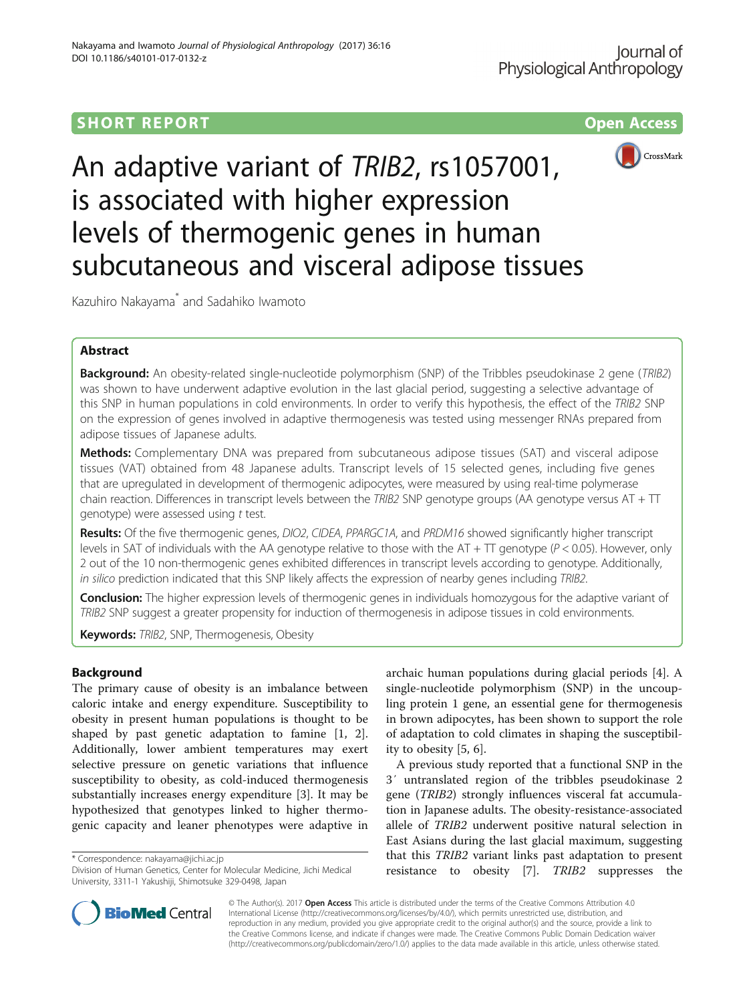# **SHORT REPORT SHORT CONSUMING THE CONSUMING THE CONSUMING THE CONSUMING THE CONSUMING THE CONSUMING THE CONSUMING THE CONSUMING THE CONSUMING THE CONSUMING THE CONSUMING THE CONSUMING THE CONSUMING THE CONSUMING THE CO**



An adaptive variant of TRIB2, rs1057001, is associated with higher expression levels of thermogenic genes in human subcutaneous and visceral adipose tissues

Kazuhiro Nakayama\* and Sadahiko Iwamoto

## Abstract

**Background:** An obesity-related single-nucleotide polymorphism (SNP) of the Tribbles pseudokinase 2 gene (TRIB2) was shown to have underwent adaptive evolution in the last glacial period, suggesting a selective advantage of this SNP in human populations in cold environments. In order to verify this hypothesis, the effect of the TRIB2 SNP on the expression of genes involved in adaptive thermogenesis was tested using messenger RNAs prepared from adipose tissues of Japanese adults.

Methods: Complementary DNA was prepared from subcutaneous adipose tissues (SAT) and visceral adipose tissues (VAT) obtained from 48 Japanese adults. Transcript levels of 15 selected genes, including five genes that are upregulated in development of thermogenic adipocytes, were measured by using real-time polymerase chain reaction. Differences in transcript levels between the TRIB2 SNP genotype groups (AA genotype versus AT +  $TT$ genotype) were assessed using t test.

Results: Of the five thermogenic genes, DIO2, CIDEA, PPARGC1A, and PRDM16 showed significantly higher transcript levels in SAT of individuals with the AA genotype relative to those with the AT + TT genotype ( $P < 0.05$ ). However, only 2 out of the 10 non-thermogenic genes exhibited differences in transcript levels according to genotype. Additionally, in silico prediction indicated that this SNP likely affects the expression of nearby genes including TRIB2.

Conclusion: The higher expression levels of thermogenic genes in individuals homozygous for the adaptive variant of TRIB2 SNP suggest a greater propensity for induction of thermogenesis in adipose tissues in cold environments.

Keywords: TRIB2, SNP, Thermogenesis, Obesity

## Background

The primary cause of obesity is an imbalance between caloric intake and energy expenditure. Susceptibility to obesity in present human populations is thought to be shaped by past genetic adaptation to famine [[1, 2](#page-4-0)]. Additionally, lower ambient temperatures may exert selective pressure on genetic variations that influence susceptibility to obesity, as cold-induced thermogenesis substantially increases energy expenditure [[3\]](#page-4-0). It may be hypothesized that genotypes linked to higher thermogenic capacity and leaner phenotypes were adaptive in

\* Correspondence: [nakayama@jichi.ac.jp](mailto:nakayama@jichi.ac.jp)

archaic human populations during glacial periods [[4\]](#page-4-0). A single-nucleotide polymorphism (SNP) in the uncoupling protein 1 gene, an essential gene for thermogenesis in brown adipocytes, has been shown to support the role of adaptation to cold climates in shaping the susceptibility to obesity [[5, 6\]](#page-4-0).

A previous study reported that a functional SNP in the 3′ untranslated region of the tribbles pseudokinase 2 gene (TRIB2) strongly influences visceral fat accumulation in Japanese adults. The obesity-resistance-associated allele of TRIB2 underwent positive natural selection in East Asians during the last glacial maximum, suggesting that this TRIB2 variant links past adaptation to present resistance to obesity [\[7](#page-4-0)]. TRIB2 suppresses the



© The Author(s). 2017 Open Access This article is distributed under the terms of the Creative Commons Attribution 4.0 International License [\(http://creativecommons.org/licenses/by/4.0/](http://creativecommons.org/licenses/by/4.0/)), which permits unrestricted use, distribution, and reproduction in any medium, provided you give appropriate credit to the original author(s) and the source, provide a link to the Creative Commons license, and indicate if changes were made. The Creative Commons Public Domain Dedication waiver [\(http://creativecommons.org/publicdomain/zero/1.0/](http://creativecommons.org/publicdomain/zero/1.0/)) applies to the data made available in this article, unless otherwise stated.

Division of Human Genetics, Center for Molecular Medicine, Jichi Medical University, 3311-1 Yakushiji, Shimotsuke 329-0498, Japan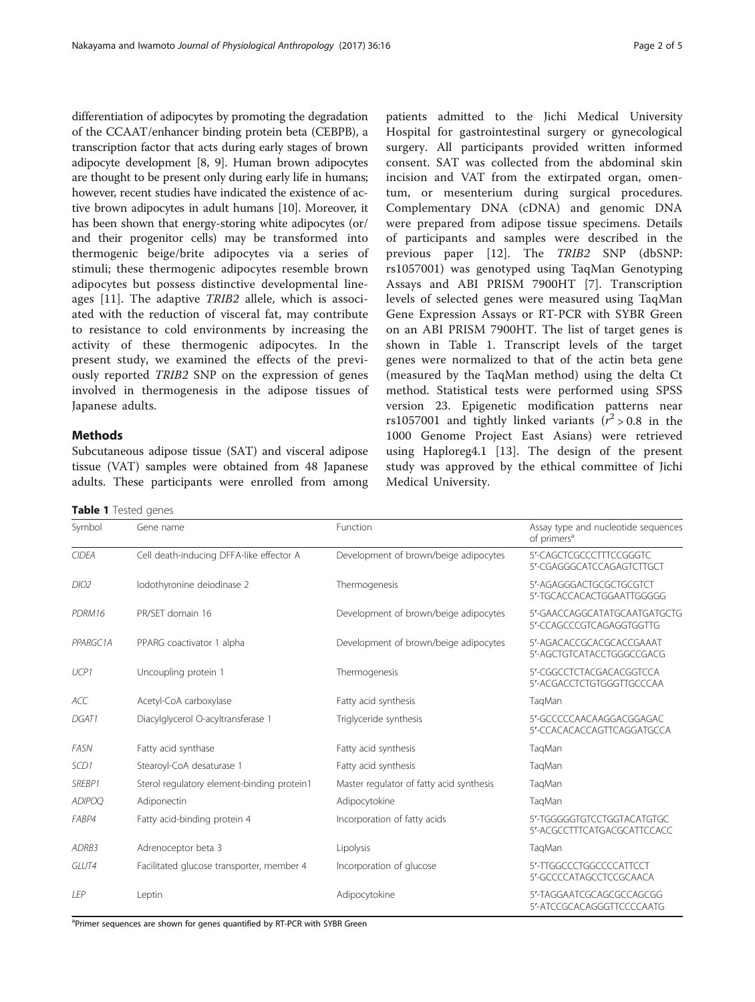differentiation of adipocytes by promoting the degradation of the CCAAT/enhancer binding protein beta (CEBPB), a transcription factor that acts during early stages of brown adipocyte development [\[8](#page-4-0), [9](#page-4-0)]. Human brown adipocytes are thought to be present only during early life in humans; however, recent studies have indicated the existence of active brown adipocytes in adult humans [[10](#page-4-0)]. Moreover, it has been shown that energy-storing white adipocytes (or/ and their progenitor cells) may be transformed into thermogenic beige/brite adipocytes via a series of stimuli; these thermogenic adipocytes resemble brown adipocytes but possess distinctive developmental lineages [\[11](#page-4-0)]. The adaptive TRIB2 allele, which is associated with the reduction of visceral fat, may contribute to resistance to cold environments by increasing the activity of these thermogenic adipocytes. In the present study, we examined the effects of the previously reported TRIB2 SNP on the expression of genes involved in thermogenesis in the adipose tissues of Japanese adults.

## **Methods**

Subcutaneous adipose tissue (SAT) and visceral adipose tissue (VAT) samples were obtained from 48 Japanese adults. These participants were enrolled from among

Table 1 Tested genes

patients admitted to the Jichi Medical University Hospital for gastrointestinal surgery or gynecological surgery. All participants provided written informed consent. SAT was collected from the abdominal skin incision and VAT from the extirpated organ, omentum, or mesenterium during surgical procedures. Complementary DNA (cDNA) and genomic DNA were prepared from adipose tissue specimens. Details of participants and samples were described in the previous paper [\[12](#page-4-0)]. The TRIB2 SNP (dbSNP: rs1057001) was genotyped using TaqMan Genotyping Assays and ABI PRISM 7900HT [\[7](#page-4-0)]. Transcription levels of selected genes were measured using TaqMan Gene Expression Assays or RT-PCR with SYBR Green on an ABI PRISM 7900HT. The list of target genes is shown in Table 1. Transcript levels of the target genes were normalized to that of the actin beta gene (measured by the TaqMan method) using the delta Ct method. Statistical tests were performed using SPSS version 23. Epigenetic modification patterns near rs1057001 and tightly linked variants ( $r^2 > 0.8$  in the 1000 Genome Project East Asians) were retrieved using Haploreg4.1 [\[13](#page-4-0)]. The design of the present study was approved by the ethical committee of Jichi Medical University.

| Symbol        | Gene name                                  | Function                                 | Assay type and nucleotide sequences<br>of primers <sup>a</sup> |  |  |  |
|---------------|--------------------------------------------|------------------------------------------|----------------------------------------------------------------|--|--|--|
| <b>CIDEA</b>  | Cell death-inducing DFFA-like effector A   | Development of brown/beige adipocytes    | 5'-CAGCTCGCCCTTTCCGGGTC<br>5'-CGAGGGCATCCAGAGTCTTGCT           |  |  |  |
| DIO2          | Iodothyronine deiodinase 2                 | Thermogenesis                            | 5'-AGAGGGACTGCGCTGCGTCT<br>5'-TGCACCACACTGGAATTGGGGG           |  |  |  |
| PDRM16        | PR/SET domain 16                           | Development of brown/beige adipocytes    | 5'-GAACCAGGCATATGCAATGATGCTG<br>5'-CCAGCCCGTCAGAGGTGGTTG       |  |  |  |
| PPARGC1A      | PPARG coactivator 1 alpha                  | Development of brown/beige adipocytes    | 5'-AGACACCGCACGCACCGAAAT<br>5'-AGCTGTCATACCTGGGCCGACG          |  |  |  |
| UCP1          | Uncoupling protein 1                       | Thermogenesis                            | 5'-CGGCCTCTACGACACGGTCCA<br>5'-ACGACCTCTGTGGGTTGCCCAA          |  |  |  |
| <b>ACC</b>    | Acetyl-CoA carboxylase                     | Fatty acid synthesis                     | TagMan                                                         |  |  |  |
| DGAT1         | Diacylglycerol O-acyltransferase 1         | Triglyceride synthesis                   | 5'-GCCCCCAACAAGGACGGAGAC<br>5'-CCACACACCAGTTCAGGATGCCA         |  |  |  |
| <b>FASN</b>   | Fatty acid synthase                        | Fatty acid synthesis                     | TaqMan                                                         |  |  |  |
| SCD1          | Stearoyl-CoA desaturase 1                  | Fatty acid synthesis                     | TaqMan                                                         |  |  |  |
| SREBP1        | Sterol regulatory element-binding protein1 | Master regulator of fatty acid synthesis | TagMan                                                         |  |  |  |
| <b>ADIPOQ</b> | Adiponectin                                | Adipocytokine                            | TagMan                                                         |  |  |  |
| FABP4         | Fatty acid-binding protein 4               | Incorporation of fatty acids             | 5'-TGGGGGTGTCCTGGTACATGTGC<br>5'-ACGCCTTTCATGACGCATTCCACC      |  |  |  |
| ADRB3         | Adrenoceptor beta 3                        | Lipolysis                                | TagMan                                                         |  |  |  |
| GLUT4         | Facilitated glucose transporter, member 4  | Incorporation of glucose                 | 5'-TTGGCCCTGGCCCCATTCCT<br>5'-GCCCCATAGCCTCCGCAACA             |  |  |  |
| LEP           | Leptin                                     | Adipocytokine                            | 5'-TAGGAATCGCAGCGCCAGCGG<br>5'-ATCCGCACAGGGTTCCCCAATG          |  |  |  |

<sup>a</sup>Primer sequences are shown for genes quantified by RT-PCR with SYBR Green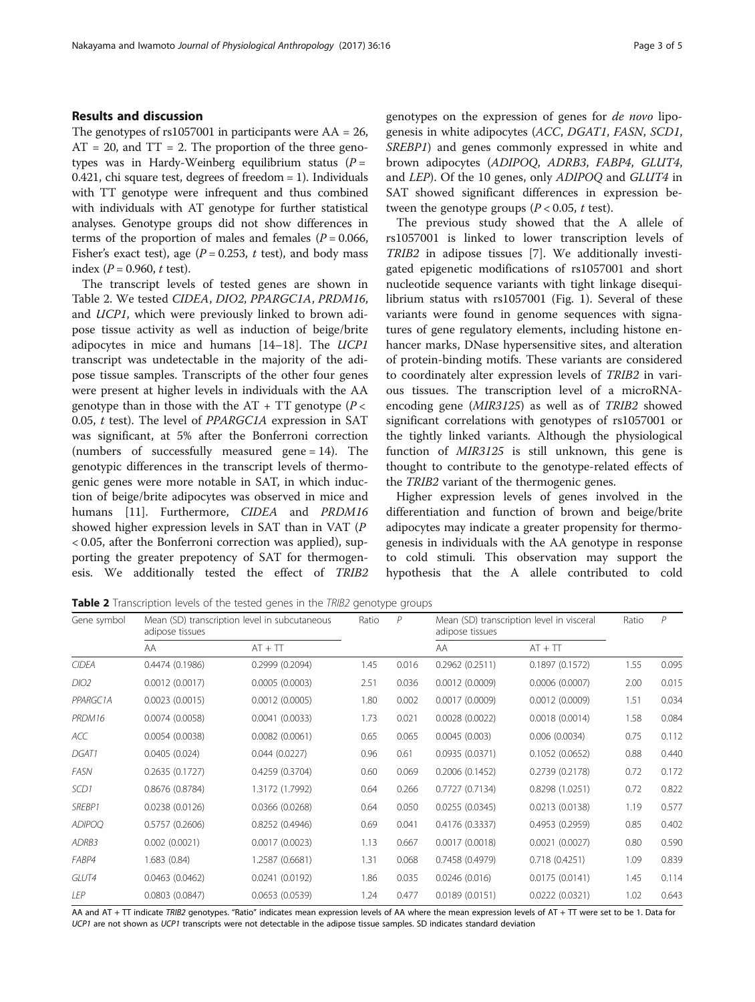### Results and discussion

The genotypes of  $rs1057001$  in participants were  $AA = 26$ ,  $AT = 20$ , and  $TT = 2$ . The proportion of the three genotypes was in Hardy-Weinberg equilibrium status  $(P =$ 0.421, chi square test, degrees of freedom = 1). Individuals with TT genotype were infrequent and thus combined with individuals with AT genotype for further statistical analyses. Genotype groups did not show differences in terms of the proportion of males and females ( $P = 0.066$ , Fisher's exact test), age ( $P = 0.253$ , t test), and body mass index ( $P = 0.960$ , t test).

The transcript levels of tested genes are shown in Table 2. We tested CIDEA, DIO2, PPARGC1A, PRDM16, and UCP1, which were previously linked to brown adipose tissue activity as well as induction of beige/brite adipocytes in mice and humans [\[14](#page-4-0)–[18\]](#page-4-0). The UCP1 transcript was undetectable in the majority of the adipose tissue samples. Transcripts of the other four genes were present at higher levels in individuals with the AA genotype than in those with the  $AT + TT$  genotype ( $P <$ 0.05, t test). The level of PPARGC1A expression in SAT was significant, at 5% after the Bonferroni correction (numbers of successfully measured gene = 14). The genotypic differences in the transcript levels of thermogenic genes were more notable in SAT, in which induction of beige/brite adipocytes was observed in mice and humans [[11\]](#page-4-0). Furthermore, CIDEA and PRDM16 showed higher expression levels in SAT than in VAT (P < 0.05, after the Bonferroni correction was applied), supporting the greater prepotency of SAT for thermogenesis. We additionally tested the effect of TRIB2 genotypes on the expression of genes for de novo lipogenesis in white adipocytes (ACC, DGAT1, FASN, SCD1, SREBP1) and genes commonly expressed in white and brown adipocytes (ADIPOQ, ADRB3, FABP4, GLUT4, and LEP). Of the 10 genes, only ADIPOQ and GLUT4 in SAT showed significant differences in expression between the genotype groups ( $P < 0.05$ , t test).

The previous study showed that the A allele of rs1057001 is linked to lower transcription levels of TRIB2 in adipose tissues [[7\]](#page-4-0). We additionally investigated epigenetic modifications of rs1057001 and short nucleotide sequence variants with tight linkage disequilibrium status with rs1057001 (Fig. [1](#page-3-0)). Several of these variants were found in genome sequences with signatures of gene regulatory elements, including histone enhancer marks, DNase hypersensitive sites, and alteration of protein-binding motifs. These variants are considered to coordinately alter expression levels of TRIB2 in various tissues. The transcription level of a microRNAencoding gene (MIR3125) as well as of TRIB2 showed significant correlations with genotypes of rs1057001 or the tightly linked variants. Although the physiological function of MIR3125 is still unknown, this gene is thought to contribute to the genotype-related effects of the TRIB2 variant of the thermogenic genes.

Higher expression levels of genes involved in the differentiation and function of brown and beige/brite adipocytes may indicate a greater propensity for thermogenesis in individuals with the AA genotype in response to cold stimuli. This observation may support the hypothesis that the A allele contributed to cold

**Table 2** Transcription levels of the tested genes in the TRIB2 genotype groups

| Gene symbol       | adipose tissues | Mean (SD) transcription level in subcutaneous | Ratio | P     | adipose tissues | Mean (SD) transcription level in visceral | Ratio | $\mathcal{P}$ |
|-------------------|-----------------|-----------------------------------------------|-------|-------|-----------------|-------------------------------------------|-------|---------------|
|                   | AA              | $AT + TT$                                     |       |       | AA              | $AT + TT$                                 |       |               |
| <b>CIDEA</b>      | 0.4474(0.1986)  | 0.2999 (0.2094)                               | 1.45  | 0.016 | 0.2962(0.2511)  | 0.1897(0.1572)                            | 1.55  | 0.095         |
| DIO <sub>2</sub>  | 0.0012(0.0017)  | 0.0005(0.0003)                                | 2.51  | 0.036 | 0.0012(0.0009)  | 0.0006(0.0007)                            | 2.00  | 0.015         |
| PPARGC1A          | 0.0023(0.0015)  | 0.0012(0.0005)                                | 1.80  | 0.002 | 0.0017(0.0009)  | 0.0012(0.0009)                            | 1.51  | 0.034         |
| PRDM16            | 0.0074(0.0058)  | 0.0041(0.0033)                                | 1.73  | 0.021 | 0.0028(0.0022)  | 0.0018(0.0014)                            | 1.58  | 0.084         |
| ACC               | 0.0054(0.0038)  | 0.0082(0.0061)                                | 0.65  | 0.065 | 0.0045(0.003)   | 0.006(0.0034)                             | 0.75  | 0.112         |
| DGAT1             | 0.0405(0.024)   | 0.044(0.0227)                                 | 0.96  | 0.61  | 0.0935 (0.0371) | 0.1052(0.0652)                            | 0.88  | 0.440         |
| <b>FASN</b>       | 0.2635(0.1727)  | 0.4259 (0.3704)                               | 0.60  | 0.069 | 0.2006(0.1452)  | 0.2739 (0.2178)                           | 0.72  | 0.172         |
| SCD <sub>1</sub>  | 0.8676(0.8784)  | 1.3172 (1.7992)                               | 0.64  | 0.266 | 0.7727(0.7134)  | 0.8298 (1.0251)                           | 0.72  | 0.822         |
| SREBP1            | 0.0238(0.0126)  | 0.0366(0.0268)                                | 0.64  | 0.050 | 0.0255(0.0345)  | 0.0213(0.0138)                            | 1.19  | 0.577         |
| <b>ADIPOQ</b>     | 0.5757(0.2606)  | 0.8252(0.4946)                                | 0.69  | 0.041 | 0.4176 (0.3337) | 0.4953(0.2959)                            | 0.85  | 0.402         |
| ADRB <sub>3</sub> | 0.002(0.0021)   | 0.0017(0.0023)                                | 1.13  | 0.667 | 0.0017(0.0018)  | 0.0021(0.0027)                            | 0.80  | 0.590         |
| FABP4             | 1.683 (0.84)    | 1.2587 (0.6681)                               | 1.31  | 0.068 | 0.7458 (0.4979) | 0.718(0.4251)                             | 1.09  | 0.839         |
| GLUT4             | 0.0463(0.0462)  | 0.0241(0.0192)                                | 1.86  | 0.035 | 0.0246(0.016)   | 0.0175(0.0141)                            | 1.45  | 0.114         |
| LEP               | 0.0803(0.0847)  | 0.0653(0.0539)                                | 1.24  | 0.477 | 0.0189(0.0151)  | 0.0222(0.0321)                            | 1.02  | 0.643         |

AA and AT + TT indicate TRIB2 genotypes. "Ratio" indicates mean expression levels of AA where the mean expression levels of AT + TT were set to be 1. Data for UCP1 are not shown as UCP1 transcripts were not detectable in the adipose tissue samples. SD indicates standard deviation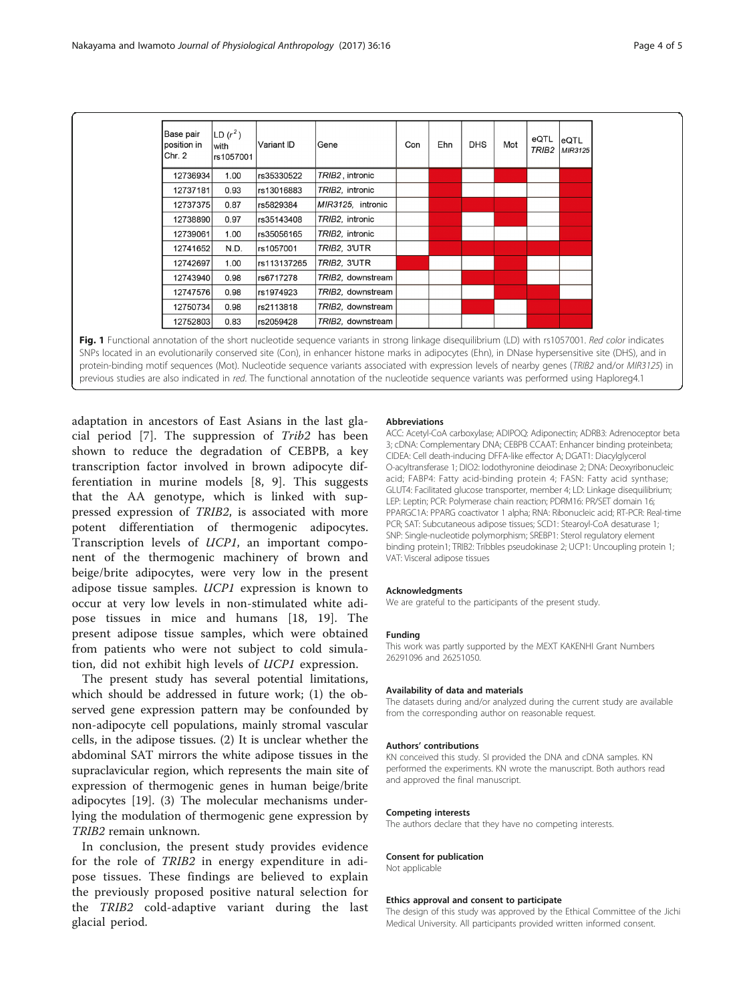<span id="page-3-0"></span>

| <b>Base pair</b><br>position in<br>Chr. 2 | LD $(r^2)$<br>with<br>rs1057001 | Variant ID   | Gene              | Con | Ehn | <b>DHS</b> | Mot | eQTL<br>TRIB <sub>2</sub> | eQTL<br>MIR3125 |
|-------------------------------------------|---------------------------------|--------------|-------------------|-----|-----|------------|-----|---------------------------|-----------------|
| 12736934                                  | 1.00                            | rs35330522   | TRIB2, intronic   |     |     |            |     |                           |                 |
| 12737181                                  | 0.93                            | rs13016883   | TRIB2, intronic   |     |     |            |     |                           |                 |
| 12737375                                  | 0.87                            | rs5829384    | MIR3125, intronic |     |     |            |     |                           |                 |
| 12738890                                  | 0.97                            | rs35143408   | TRIB2, intronic   |     |     |            |     |                           |                 |
| 12739061                                  | 1.00                            | rs35056165   | TRIB2, intronic   |     |     |            |     |                           |                 |
| 12741652                                  | N.D.                            | lrs1057001   | TRIB2, 3'UTR      |     |     |            |     |                           |                 |
| 12742697                                  | 1.00                            | lrs113137265 | TRIB2, 3'UTR      |     |     |            |     |                           |                 |
| 12743940                                  | 0.98                            | rs6717278    | TRIB2, downstream |     |     |            |     |                           |                 |
| 12747576                                  | 0.98                            | rs1974923    | TRIB2, downstream |     |     |            |     |                           |                 |
| 12750734                                  | 0.98                            | rs2113818    | TRIB2, downstream |     |     |            |     |                           |                 |
| 12752803                                  | 0.83                            | rs2059428    | TRIB2, downstream |     |     |            |     |                           |                 |

Fig. 1 Functional annotation of the short nucleotide sequence variants in strong linkage disequilibrium (LD) with rs1057001. Red color indicates SNPs located in an evolutionarily conserved site (Con), in enhancer histone marks in adipocytes (Ehn), in DNase hypersensitive site (DHS), and in protein-binding motif sequences (Mot). Nucleotide sequence variants associated with expression levels of nearby genes (TRIB2 and/or MIR3125) in previous studies are also indicated in red. The functional annotation of the nucleotide sequence variants was performed using Haploreg4.1

adaptation in ancestors of East Asians in the last glacial period [\[7](#page-4-0)]. The suppression of Trib2 has been shown to reduce the degradation of CEBPB, a key transcription factor involved in brown adipocyte differentiation in murine models [\[8](#page-4-0), [9\]](#page-4-0). This suggests that the AA genotype, which is linked with suppressed expression of TRIB2, is associated with more potent differentiation of thermogenic adipocytes. Transcription levels of UCP1, an important component of the thermogenic machinery of brown and beige/brite adipocytes, were very low in the present adipose tissue samples. UCP1 expression is known to occur at very low levels in non-stimulated white adipose tissues in mice and humans [[18](#page-4-0), [19\]](#page-4-0). The present adipose tissue samples, which were obtained from patients who were not subject to cold simulation, did not exhibit high levels of UCP1 expression.

The present study has several potential limitations, which should be addressed in future work; (1) the observed gene expression pattern may be confounded by non-adipocyte cell populations, mainly stromal vascular cells, in the adipose tissues. (2) It is unclear whether the abdominal SAT mirrors the white adipose tissues in the supraclavicular region, which represents the main site of expression of thermogenic genes in human beige/brite adipocytes [[19\]](#page-4-0). (3) The molecular mechanisms underlying the modulation of thermogenic gene expression by TRIB2 remain unknown.

In conclusion, the present study provides evidence for the role of TRIB2 in energy expenditure in adipose tissues. These findings are believed to explain the previously proposed positive natural selection for the TRIB2 cold-adaptive variant during the last glacial period.

#### Abbreviations

ACC: Acetyl-CoA carboxylase; ADIPOQ: Adiponectin; ADRB3: Adrenoceptor beta 3; cDNA: Complementary DNA; CEBPB CCAAT: Enhancer binding proteinbeta; CIDEA: Cell death-inducing DFFA-like effector A; DGAT1: Diacylglycerol O-acyltransferase 1; DIO2: Iodothyronine deiodinase 2; DNA: Deoxyribonucleic acid; FABP4: Fatty acid-binding protein 4; FASN: Fatty acid synthase; GLUT4: Facilitated glucose transporter, member 4; LD: Linkage disequilibrium; LEP: Leptin; PCR: Polymerase chain reaction; PDRM16: PR/SET domain 16; PPARGC1A: PPARG coactivator 1 alpha; RNA: Ribonucleic acid; RT-PCR: Real-time PCR; SAT: Subcutaneous adipose tissues; SCD1: Stearoyl-CoA desaturase 1; SNP: Single-nucleotide polymorphism; SREBP1: Sterol regulatory element binding protein1; TRIB2: Tribbles pseudokinase 2; UCP1: Uncoupling protein 1; VAT: Visceral adipose tissues

#### Acknowledgments

We are grateful to the participants of the present study.

#### Funding

This work was partly supported by the MEXT KAKENHI Grant Numbers 26291096 and 26251050.

#### Availability of data and materials

The datasets during and/or analyzed during the current study are available from the corresponding author on reasonable request.

#### Authors' contributions

KN conceived this study. SI provided the DNA and cDNA samples. KN performed the experiments. KN wrote the manuscript. Both authors read and approved the final manuscript.

#### Competing interests

The authors declare that they have no competing interests.

### Consent for publication

Not applicable

#### Ethics approval and consent to participate

The design of this study was approved by the Ethical Committee of the Jichi Medical University. All participants provided written informed consent.